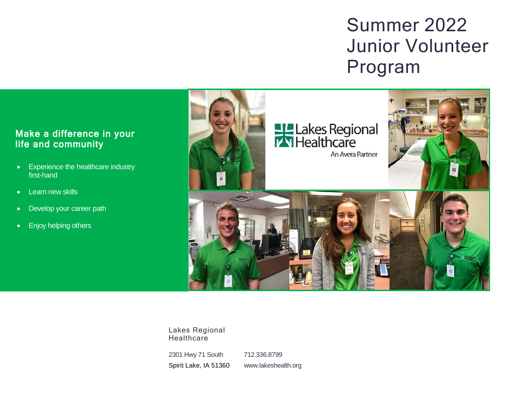# Summer 2022 Junior Volunteer Program

### Make a difference in your life and community

- Experience the healthcare industry first-hand
- Learn new skills
- Develop your career path
- Enjoy helping others



Lakes Regional **Healthcare** 

2301 Hwy 71 South Spirit Lake, IA 51360

712.336.8799 www.lakeshealth.org